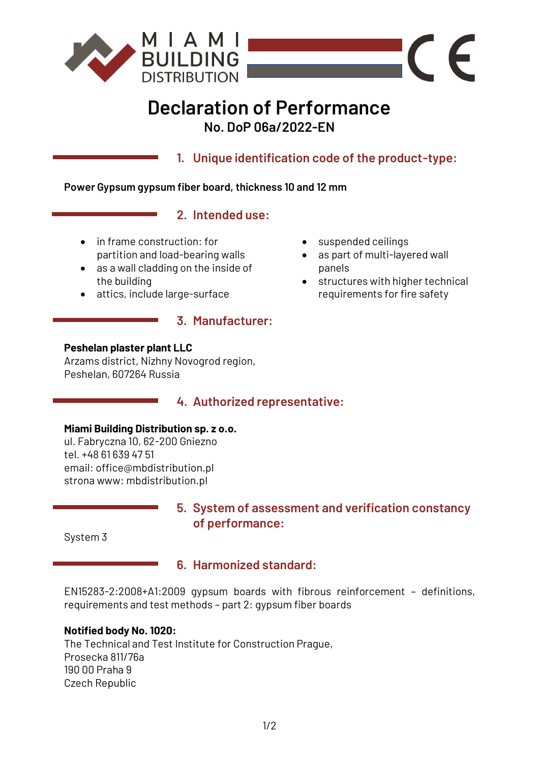

# **Declaration of Performance No. DoP 06a/2022-EN**

**1. Unique identification code of the product-type:**

#### **Power Gypsum gypsum fiber board, thickness 10 and 12 mm**

### **2. Intended use:**

**3. Manufacturer:**

- in frame construction: for partition and load-bearing walls
- as a wall cladding on the inside of the building
- attics, include large-surface
- suspended ceilings
- as part of multi-layered wall panels
- structures with higher technical requirements for fire safety

 $\epsilon$ 

 $\sqrt{2}$ 

### **Peshelan plaster plant LLC**

Arzams district, Nizhny Novogrod region, Peshelan, 607264 Russia

### **4. Authorized representative:**

#### **Miami Building Distribution sp. z o.o.**

ul. Fabryczna 10, 62-200 Gniezno tel. +48 61 639 47 51 email: office@mbdistribution.pl strona www: mbdistribution.pl

### **5. System of assessment and verification constancy of performance:**

System 3

### **6. Harmonized standard:**

EN15283-2:2008+A1:2009 gypsum boards with fibrous reinforcement – definitions, requirements and test methods – part 2: gypsum fiber boards

### **Notified body No. 1020:**

The Technical and Test Institute for Construction Prague, Prosecka 811/76a 190 00 Praha 9 Czech Republic